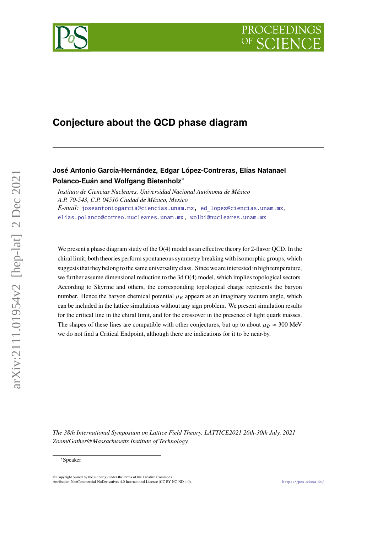# PROCEEDIN



## **Conjecture about the QCD phase diagram**

### **José Antonio García-Hernández, Edgar López-Contreras, Elías Natanael Polanco-Euán and Wolfgang Bietenholz**<sup>∗</sup>

*Instituto de Ciencias Nucleares, Universidad Nacional Autónoma de México A.P. 70-543, C.P. 04510 Ciudad de México, Mexico E-mail:* [joseantoniogarcia@ciencias.unam.mx,](mailto:joseantoniogarcia@ciencias.unam.mx) ed [lopez@ciencias.unam.mx,](mailto:ed\protect \protect \relax $\@@underline {\hbox {\protect \setbox \tw@ \hbox {\begingroup \pdfcolorstack \main@pdfcolorstack push{0 g 0 G}\aftergroup \pdfcolorstack \main@pdfcolorstack pop\relax ~\endgraf \endgroup }\dp \tw@ \z@ \box \tw@ }}\mathsurround \z@ $\relax lopez@ciencias.unam.mx) [elias.polanco@correo.nucleares.unam.mx,](mailto:elias.polanco@correo.nucleares.unam.mx) [wolbi@nucleares.unam.mx](mailto:wolbi@nucleares.unam.mx)

We present a phase diagram study of the  $O(4)$  model as an effective theory for 2-flavor QCD. In the chiral limit, both theories perform spontaneous symmetry breaking with isomorphic groups, which suggests that they belong to the same universality class. Since we are interested in high temperature, we further assume dimensional reduction to the 3d O(4) model, which implies topological sectors. According to Skyrme and others, the corresponding topological charge represents the baryon number. Hence the baryon chemical potential  $\mu_B$  appears as an imaginary vacuum angle, which can be included in the lattice simulations without any sign problem. We present simulation results for the critical line in the chiral limit, and for the crossover in the presence of light quark masses. The shapes of these lines are compatible with other conjectures, but up to about  $\mu_R \approx 300$  MeV we do not find a Critical Endpoint, although there are indications for it to be near-by.

*The 38th International Symposium on Lattice Field Theory, LATTICE2021 26th-30th July, 2021 Zoom/Gather@Massachusetts Institute of Technology*

<sup>∗</sup>Speaker

<sup>©</sup> Copyright owned by the author(s) under the terms of the Creative Commons Attribution-NonCommercial-NoDerivatives 4.0 International License (CC BY-NC-ND 4.0). <https://pos.sissa.it/>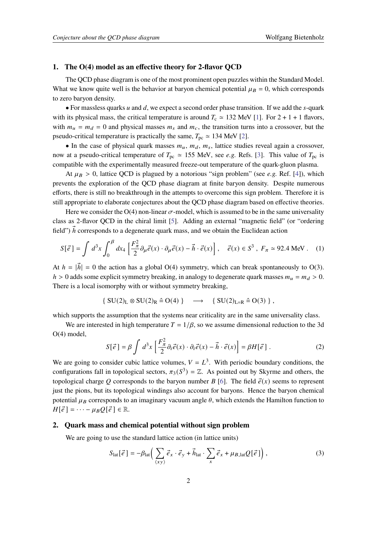#### **1. The O(4) model as an effective theory for 2-flavor QCD**

The QCD phase diagram is one of the most prominent open puzzles within the Standard Model. What we know quite well is the behavior at baryon chemical potential  $\mu_B = 0$ , which corresponds to zero baryon density.

• For massless quarks  $u$  and  $d$ , we expect a second order phase transition. If we add the  $s$ -quark with its physical mass, the critical temperature is around  $T_c \approx 132$  MeV [\[1\]](#page-8-0). For  $2 + 1 + 1$  flavors, with  $m_u = m_d = 0$  and physical masses  $m_s$  and  $m_c$ , the transition turns into a crossover, but the pseudo-critical temperature is practically the same,  $T_{\text{nc}} \approx 134$  MeV [\[2\]](#page-8-1).

• In the case of physical quark masses  $m_u$ ,  $m_d$ ,  $m_s$ , lattice studies reveal again a crossover, now at a pseudo-critical temperature of  $T_{\text{pc}} \approx 155$  MeV, see *e.g.* Refs. [\[3\]](#page-8-2). This value of  $T_{\text{pc}}$  is compatible with the experimentally measured freeze-out temperature of the quark-gluon plasma.

At  $\mu_B > 0$ , lattice QCD is plagued by a notorious "sign problem" (see *e.g.* Ref. [\[4\]](#page-8-3)), which prevents the exploration of the QCD phase diagram at finite baryon density. Despite numerous efforts, there is still no breakthrough in the attempts to overcome this sign problem. Therefore it is still appropriate to elaborate conjectures about the QCD phase diagram based on effective theories.

Here we consider the O(4) non-linear  $\sigma$ -model, which is assumed to be in the same universality class as 2-flavor QCD in the chiral limit [\[5\]](#page-8-4). Adding an external "magnetic field" (or "ordering field")  $\vec{h}$  corresponds to a degenerate quark mass, and we obtain the Euclidean action

$$
S[\vec{e}] = \int d^3x \int_0^{\beta} dx_4 \left[ \frac{F_{\pi}^2}{2} \partial_{\mu} \vec{e}(x) \cdot \partial_{\mu} \vec{e}(x) - \vec{h} \cdot \vec{e}(x) \right], \quad \vec{e}(x) \in S^3, \ F_{\pi} \simeq 92.4 \text{ MeV}. \tag{1}
$$

At  $h = |\vec{h}| = 0$  the action has a global O(4) symmetry, which can break spontaneously to O(3).  $h > 0$  adds some explicit symmetry breaking, in analogy to degenerate quark masses  $m_u = m_d > 0$ . There is a local isomorphy with or without symmetry breaking,

$$
\{ \ SU(2)_L \otimes SU(2)_R \hat{=} \, O(4) \; \} \quad \longrightarrow \quad \{ \ SU(2)_{L=R} \hat{=} \, O(3) \; \} \; ,
$$

which supports the assumption that the systems near criticality are in the same universality class.

We are interested in high temperature  $T = 1/\beta$ , so we assume dimensional reduction to the 3d O(4) model,

$$
S[\vec{e}] = \beta \int d^3x \left[ \frac{F_{\pi}^2}{2} \partial_i \vec{e}(x) \cdot \partial_i \vec{e}(x) - \vec{h} \cdot \vec{e}(x) \right] = \beta H[\vec{e}] \ . \tag{2}
$$

We are going to consider cubic lattice volumes,  $V = L<sup>3</sup>$ . With periodic boundary conditions, the configurations fall in topological sectors,  $\pi_3(S^3) = \mathbb{Z}$ . As pointed out by Skyrme and others, the topological charge Q corresponds to the baryon number  $B$  [\[6\]](#page-8-5). The field  $\vec{e}(x)$  seems to represent just the pions, but its topological windings also account for baryons. Hence the baryon chemical potential  $\mu_B$  corresponds to an imaginary vacuum angle  $\theta$ , which extends the Hamilton function to  $H[\vec{e}] = \cdots - \mu_B Q[\vec{e}] \in \mathbb{R}.$ 

#### **2. Quark mass and chemical potential without sign problem**

We are going to use the standard lattice action (in lattice units)

$$
S_{\text{lat}}[\vec{e}] = -\beta_{\text{lat}} \left( \sum_{\langle xy \rangle} \vec{e}_x \cdot \vec{e}_y + \vec{h}_{\text{lat}} \cdot \sum_x \vec{e}_x + \mu_{B,\text{lat}} Q[\vec{e}] \right),\tag{3}
$$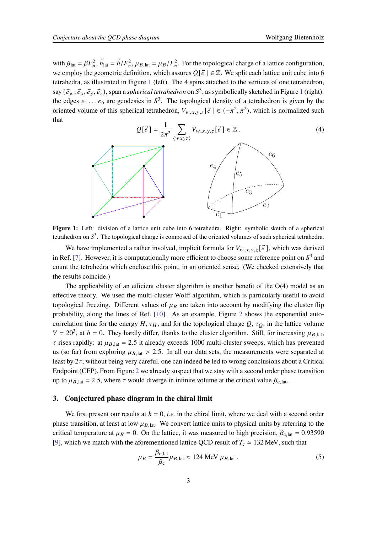with  $\beta_{\text{lat}} = \beta F_{\pi}^2$ ,  $\vec{h}_{\text{lat}} = \vec{h}/F_{\pi}^2$ ,  $\mu_{B,\text{lat}} = \mu_B/F_{\pi}^2$ . For the topological charge of a lattice configuration, we employ the geometric definition, which assures  $Q[\vec{e}] \in \mathbb{Z}$ . We split each lattice unit cube into 6 tetrahedra, as illustrated in Figure [1](#page-2-0) (left). The 4 spins attached to the vertices of one tetrahedron, say  $(\vec{e}_w, \vec{e}_x, \vec{e}_y, \vec{e}_z)$ , span a *spherical tetrahedron* on  $S^3$ , as symbolically sketched in Figure [1](#page-2-0) (right): the edges  $e_1 \dots e_6$  are geodesics in  $S^3$ . The topological density of a tetrahedron is given by the oriented volume of this spherical tetrahedron,  $V_{w,x,y,z}[\vec{e}] \in (-\pi^2, \pi^2)$ , which is normalized such that

<span id="page-2-0"></span>

tetrahedron on  $S^3$ . The topological charge is composed of the oriented volumes of such spherical tetrahedra. Figure 1: Left: division of a lattice unit cube into 6 tetrahedra. Right: symbolic sketch of a spherical

We have implemented a rather involved, implicit formula for  $V_{w,x,y,z}[\vec{e}]$ , which was derived in Ref. [\[7\]](#page-8-6). However, it is computationally more efficient to choose some reference point on  $S^3$  and count the tetrahedra which enclose this point, in an oriented sense. (We checked extensively that the results coincide.)

correlation time for the energy H,  $\tau_H$ , and for the topological charge Q,  $\tau_Q$ , in the lattice volume The applicability of an efficient cluster algorithm is another benefit of the  $O(4)$  model as an effective theory. We used the multi-cluster Wolff algorithm, which is particularly useful to avoid topological freezing. Different values of  $\mu_B$  are taken into account by modifying the cluster flip probability, along the lines of Ref. [\[10\]](#page-8-7). As an example, Figure [2](#page-3-0) shows the exponential auto- $V = 20^3$ , at  $h = 0$ . They hardly differ, thanks to the cluster algorithm. Still, for increasing  $\mu_{B, \text{lat}}$ ,  $\tau$  rises rapidly: at  $\mu_{B,lat} = 2.5$  it already exceeds 1000 multi-cluster sweeps, which has prevented us (so far) from exploring  $\mu_{B, \text{lat}} > 2.5$ . In all our data sets, the measurements were separated at least by  $2\tau$ ; without being very careful, one can indeed be led to wrong conclusions about a Critical Endpoint (CEP). From Figure [2](#page-3-0) we already suspect that we stay with a second order phase transition up to  $\mu_{B, \text{lat}} = 2.5$ , where  $\tau$  would diverge in infinite volume at the critical value  $\beta_{c, \text{lat}}$ .

#### **3. Conjectured phase diagram in the chiral limit**

We first present our results at  $h = 0$ , *i.e.* in the chiral limit, where we deal with a second order phase transition, at least at low  $\mu_{B,lat}$ . We convert lattice units to physical units by referring to the critical temperature at  $\mu_B = 0$ . On the lattice, it was measured to high precision,  $\beta_{c,lat} = 0.93590$ [\[9\]](#page-8-8), which we match with the aforementioned lattice QCD result of  $T_c \approx 132$  MeV, such that

$$
\mu_B = \frac{\beta_{\rm c, lat}}{\beta_{\rm c}} \mu_{B, \rm lat} \approx 124 \text{ MeV } \mu_{B, \rm lat} \,. \tag{5}
$$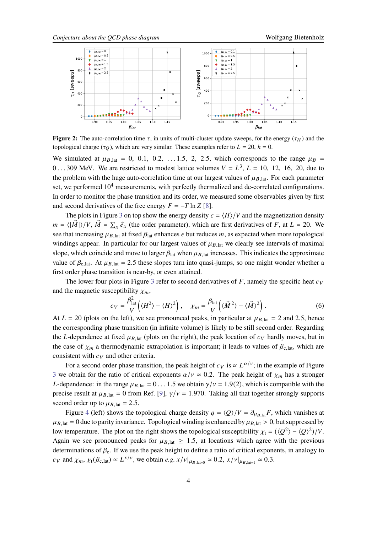<span id="page-3-0"></span>

**Figure 2:** The auto-correlation time  $\tau$ , in units of multi-cluster update sweeps, for the energy ( $\tau$ <sub>H</sub>) and the topological charge ( $\tau_O$ ), which are very similar. These examples refer to  $L = 20$ ,  $h = 0$ .

We simulated at  $\mu_{B,lat} = 0$ , 0.1, 0.2, ...1.5, 2, 2.5, which corresponds to the range  $\mu_B$  = 0...309 MeV. We are restricted to modest lattice volumes  $V = L^3$ ,  $L = 10$ , 12, 16, 20, due to the problem with the huge auto-correlation time at our largest values of  $\mu_{B,lat}$ . For each parameter set, we performed  $10<sup>4</sup>$  measurements, with perfectly thermalized and de-correlated configurations. In order to monitor the phase transition and its order, we measured some observables given by first and second derivatives of the free energy  $F = -T \ln Z$  [\[8\]](#page-8-9).

The plots in Figure [3](#page-4-0) on top show the energy density  $\epsilon = \langle H \rangle / V$  and the magnetization density  $m = \langle |\vec{M}| \rangle / V$ ,  $\vec{M} = \sum_{x} \vec{e}_x$  (the order parameter), which are first derivatives of F, at  $L = 20$ . We see that increasing  $\mu_{B,lat}$  at fixed  $\beta_{lat}$  enhances  $\epsilon$  but reduces m, as expected when more topological windings appear. In particular for our largest values of  $\mu_{B,lat}$  we clearly see intervals of maximal slope, which coincide and move to larger  $\beta_{\text{lat}}$  when  $\mu_{B, \text{lat}}$  increases. This indicates the approximate value of  $\beta_{c,lat}$ . At  $\mu_{B,lat} = 2.5$  these slopes turn into quasi-jumps, so one might wonder whether a first order phase transition is near-by, or even attained.

The lower four plots in Figure [3](#page-4-0) refer to second derivatives of  $F$ , namely the specific heat  $c_V$ and the magnetic susceptibility  $\chi_m$ ,

$$
c_V = \frac{\beta_{\text{lat}}^2}{V} \left( \langle H^2 \rangle - \langle H \rangle^2 \right), \quad \chi_m = \frac{\beta_{\text{lat}}}{V} \left( \langle \vec{M}^2 \rangle - \langle \vec{M} \rangle^2 \right). \tag{6}
$$

At  $L = 20$  (plots on the left), we see pronounced peaks, in particular at  $\mu_{B,lat} = 2$  and 2.5, hence the corresponding phase transition (in infinite volume) is likely to be still second order. Regarding the L-dependence at fixed  $\mu_{B,lat}$  (plots on the right), the peak location of  $c_V$  hardly moves, but in the case of  $\chi_m$  a thermodynamic extrapolation is important; it leads to values of  $\beta_{c,lat}$ , which are consistent with  $c_V$  and other criteria.

For a second order phase transition, the peak height of  $c_V$  is  $\propto L^{\alpha/\nu}$ ; in the example of Figure [3](#page-4-0) we obtain for the ratio of critical exponents  $\alpha / v \approx 0.2$ . The peak height of  $\chi_m$  has a stronger L-dependence: in the range  $\mu_{B_{\text{lat}}} = 0 \dots 1.5$  we obtain  $\gamma/\nu = 1.9(2)$ , which is compatible with the precise result at  $\mu_{B,lat} = 0$  from Ref. [\[9\]](#page-8-8),  $\gamma/\nu = 1.970$ . Taking all that together strongly supports second order up to  $\mu_{B,lat} = 2.5$ .

Figure [4](#page-4-1) (left) shows the topological charge density  $q = \langle Q \rangle / V = \partial_{\mu_{B,lat}} F$ , which vanishes at  $\mu_{B,lat} = 0$  due to parity invariance. Topological winding is enhanced by  $\mu_{B,lat} > 0$ , but suppressed by low temperature. The plot on the right shows the topological susceptibility  $\chi_t = (\langle Q^2 \rangle - \langle Q \rangle^2)/V$ . Again we see pronounced peaks for  $\mu_{B,lat} \ge 1.5$ , at locations which agree with the previous determinations of  $\beta_c$ . If we use the peak height to define a ratio of critical exponents, in analogy to  $c_V$  and  $\chi_m$ ,  $\chi_t(\beta_{c,\text{lat}}) \propto L^{x/\nu}$ , we obtain *e.g.*  $x/\nu|_{\mu_{B,\text{lat}=0}} \simeq 0.2$ ,  $x/\nu|_{\mu_{B,\text{lat}=1}} \simeq 0.3$ .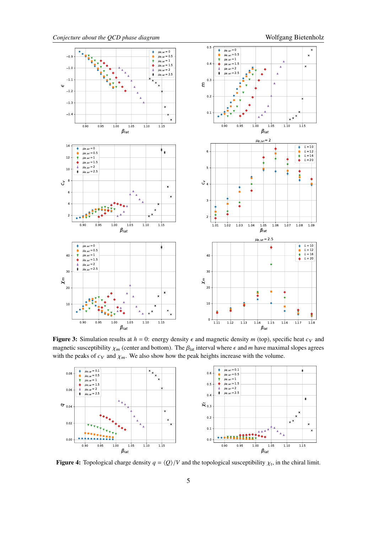<span id="page-4-0"></span>

**Figure 3:** Simulation results at  $h = 0$ : energy density  $\epsilon$  and magnetic density  $m$  (top), specific heat  $c_V$  and magnetic susceptibility  $\chi_m$  (center and bottom). The  $\beta_{\text{lat}}$  interval where  $\epsilon$  and  $m$  have maximal slopes agrees with the peaks of  $c_V$  and  $\chi_m$ . We also show how the peak heights increase with the volume.

<span id="page-4-1"></span>

**Figure 4:** Topological charge density  $q = \langle Q \rangle / V$  and the topological susceptibility  $\chi_t$ , in the chiral limit.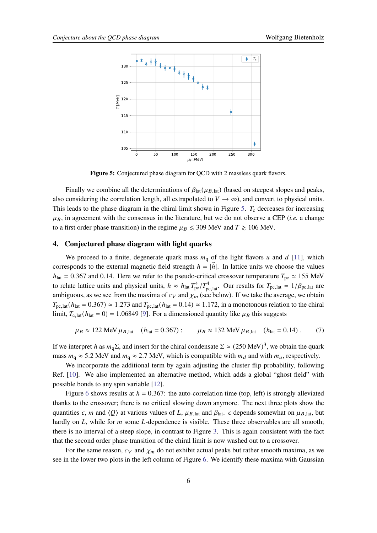<span id="page-5-0"></span>

**Figure 5:** Conjectured phase diagram for QCD with 2 massless quark flavors.

Finally we combine all the determinations of  $\beta_{\text{lat}}(\mu_{B, \text{lat}})$  (based on steepest slopes and peaks, also considering the correlation length, all extrapolated to  $V \to \infty$ ), and convert to physical units. This leads to the phase diagram in the chiral limit shown in Figure [5.](#page-5-0)  $T_c$  decreases for increasing  $\mu_B$ , in agreement with the consensus in the literature, but we do not observe a CEP (*i.e.* a change to a first order phase transition) in the regime  $\mu_B \leq 309$  MeV and  $T \geq 106$  MeV.

#### **4. Conjectured phase diagram with light quarks**

We proceed to a finite, degenerate quark mass  $m_q$  of the light flavors  $u$  and  $d$  [\[11\]](#page-8-10), which corresponds to the external magnetic field strength  $h = |\vec{h}|$ . In lattice units we choose the values  $h_{\text{lat}} = 0.367$  and 0.14. Here we refer to the pseudo-critical crossover temperature  $T_{\text{pc}} \approx 155$  MeV to relate lattice units and physical units,  $h \approx h_{\text{lat}} T_{\text{pc}}^4 / T_{\text{pc,lat}}^4$ . Our results for  $T_{\text{pc,lat}} = 1/\beta_{\text{pc,lat}}$  are ambiguous, as we see from the maxima of  $c_V$  and  $\chi_m$  (see below). If we take the average, we obtain  $T_{\text{pc,lat}}(h_{\text{lat}} = 0.367) \approx 1.273$  and  $T_{\text{pc,lat}}(h_{\text{lat}} = 0.14) \approx 1.172$ , in a monotonous relation to the chiral limit,  $T_{c,hat}(h_{hat} = 0) = 1.06849$  [\[9\]](#page-8-8). For a dimensioned quantity like  $\mu_B$  this suggests

$$
\mu_B \approx 122 \text{ MeV } \mu_{B,\text{lat}}
$$
 ( $h_{\text{lat}} = 0.367$ );  $\mu_B \approx 132 \text{ MeV } \mu_{B,\text{lat}}$  ( $h_{\text{lat}} = 0.14$ ). (7)

If we interpret h as  $m_q \Sigma$ , and insert for the chiral condensate  $\Sigma \simeq (250 \text{ MeV})^3$ , we obtain the quark mass  $m_q \approx 5.2$  MeV and  $m_q \approx 2.7$  MeV, which is compatible with  $m_d$  and with  $m_u$ , respectively.

We incorporate the additional term by again adjusting the cluster flip probability, following Ref. [\[10\]](#page-8-7). We also implemented an alternative method, which adds a global "ghost field" with possible bonds to any spin variable [\[12\]](#page-8-11).

Figure [6](#page-6-0) shows results at  $h = 0.367$ : the auto-correlation time (top, left) is strongly alleviated thanks to the crossover; there is no critical slowing down anymore. The next three plots show the quantities  $\epsilon$ , *m* and  $\langle Q \rangle$  at various values of L,  $\mu_{B,lat}$  and  $\beta_{lat}$ .  $\epsilon$  depends somewhat on  $\mu_{B,lat}$ , but hardly on  $L$ , while for  $m$  some  $L$ -dependence is visible. These three observables are all smooth; there is no interval of a steep slope, in contrast to Figure [3.](#page-4-0) This is again consistent with the fact that the second order phase transition of the chiral limit is now washed out to a crossover.

For the same reason,  $c_V$  and  $\chi_m$  do not exhibit actual peaks but rather smooth maxima, as we see in the lower two plots in the left column of Figure [6.](#page-6-0) We identify these maxima with Gaussian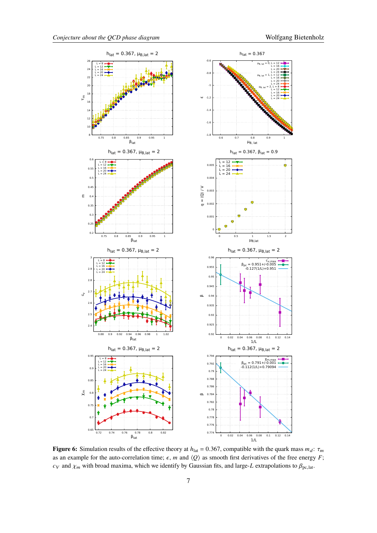<span id="page-6-0"></span>

**Figure 6:** Simulation results of the effective theory at  $h_{\text{lat}} = 0.367$ , compatible with the quark mass  $m_d$ :  $\tau_m$ as an example for the auto-correlation time;  $\epsilon$ , *m* and  $\langle Q \rangle$  as smooth first derivatives of the free energy *F*;  $c_V$  and  $\chi_m$  with broad maxima, which we identify by Gaussian fits, and large-L extrapolations to  $\beta_{\text{pc,lat}}$ .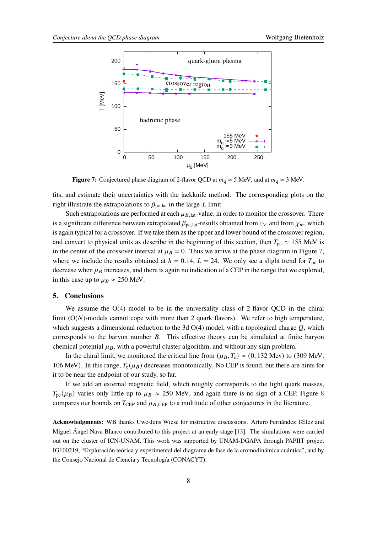<span id="page-7-0"></span>

**Figure 7:** Conjectured phase diagram of 2-flavor QCD at  $m_q \approx 5$  MeV, and at  $m_q \approx 3$  MeV.

fits, and estimate their uncertainties with the jackknife method. The corresponding plots on the right illustrate the extrapolations to  $\beta_{\text{pc,lat}}$  in the large-L limit.

Such extrapolations are performed at each  $\mu_{B, lat}$ -value, in order to monitor the crossover. There is a significant difference between extrapolated  $\beta_{\text{pc,lat}}$ -results obtained from  $c_V$  and from  $\chi_m$ , which is again typical for a crossover. If we take them as the upper and lower bound of the crossover region, and convert to physical units as describe in the beginning of this section, then  $T_{\text{pc}} \approx 155$  MeV is in the center of the crossover interval at  $\mu_B = 0$ . Thus we arrive at the phase diagram in Figure [7,](#page-7-0) where we include the results obtained at  $h = 0.14$ ,  $L = 24$ . We only see a slight trend for  $T_{\text{pc}}$  to decrease when  $\mu_B$  increases, and there is again no indication of a CEP in the range that we explored, in this case up to  $\mu_B \approx 250$  MeV.

#### **5. Conclusions**

We assume the  $O(4)$  model to be in the universality class of 2-flavor OCD in the chiral limit  $(O(N)$ -models cannot cope with more than 2 quark flavors). We refer to high temperature, which suggests a dimensional reduction to the 3d  $O(4)$  model, with a topological charge Q, which corresponds to the baryon number  $B$ . This effective theory can be simulated at finite baryon chemical potential  $\mu_B$ , with a powerful cluster algorithm, and without any sign problem.

In the chiral limit, we monitored the critical line from  $(\mu_B, T_c) \approx (0, 132 \text{ MeV})$  to (309 MeV, 106 MeV). In this range,  $T_c(\mu_B)$  decreases monotonically. No CEP is found, but there are hints for it to be near the endpoint of our study, so far.

If we add an external magnetic field, which roughly corresponds to the light quark masses,  $T_{\rm pc}(\mu_B)$  varies only little up to  $\mu_B \approx 250$  MeV, and again there is no sign of a CEP. Figure [8](#page-8-12) compares our bounds on  $T_{\text{CEP}}$  and  $\mu_{B,\text{CEP}}$  to a multitude of other conjectures in the literature.

**Acknowledgments:** WB thanks Uwe-Jens Wiese for instructive discussions. Arturo Fernández Téllez and Miguel Ángel Nava Blanco contributed to this project at an early stage [\[13\]](#page-8-13). The simulations were carried out on the cluster of ICN-UNAM. This work was supported by UNAM-DGAPA through PAPIIT project IG100219, "Exploración teórica y experimental del diagrama de fase de la cromodinámica cuántica", and by the Consejo Nacional de Ciencia y Tecnología (CONACYT).